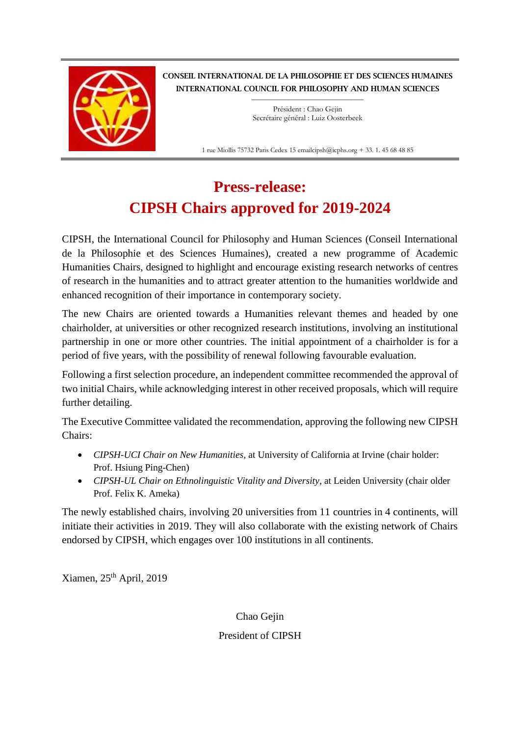

CONSEIL INTERNATIONAL DE LA PHILOSOPHIE ET DES SCIENCES HUMAINES INTERNATIONAL COUNCIL FOR PHILOSOPHY AND HUMAN SCIENCES

> $\_$ Président : Chao Gejin Secrétaire général : Luiz Oosterbeek

1 rue Miollis 75732 Paris Cedex 15 emailcipsh@icphs.org + 33. 1. 45 68 48 85

## **Press-release: CIPSH Chairs approved for 2019-2024**

CIPSH, the International Council for Philosophy and Human Sciences (Conseil International de la Philosophie et des Sciences Humaines), created a new programme of Academic Humanities Chairs, designed to highlight and encourage existing research networks of centres of research in the humanities and to attract greater attention to the humanities worldwide and enhanced recognition of their importance in contemporary society.

The new Chairs are oriented towards a Humanities relevant themes and headed by one chairholder, at universities or other recognized research institutions, involving an institutional partnership in one or more other countries. The initial appointment of a chairholder is for a period of five years, with the possibility of renewal following favourable evaluation.

Following a first selection procedure, an independent committee recommended the approval of two initial Chairs, while acknowledging interest in other received proposals, which will require further detailing.

The Executive Committee validated the recommendation, approving the following new CIPSH Chairs:

- *CIPSH-UCI Chair on New Humanities*, at University of California at Irvine (chair holder: Prof. Hsiung Ping-Chen)
- *CIPSH-UL Chair on Ethnolinguistic Vitality and Diversity*, at Leiden University (chair older Prof. Felix K. Ameka)

The newly established chairs, involving 20 universities from 11 countries in 4 continents, will initiate their activities in 2019. They will also collaborate with the existing network of Chairs endorsed by CIPSH, which engages over 100 institutions in all continents.

Xiamen, 25th April, 2019

Chao Gejin President of CIPSH